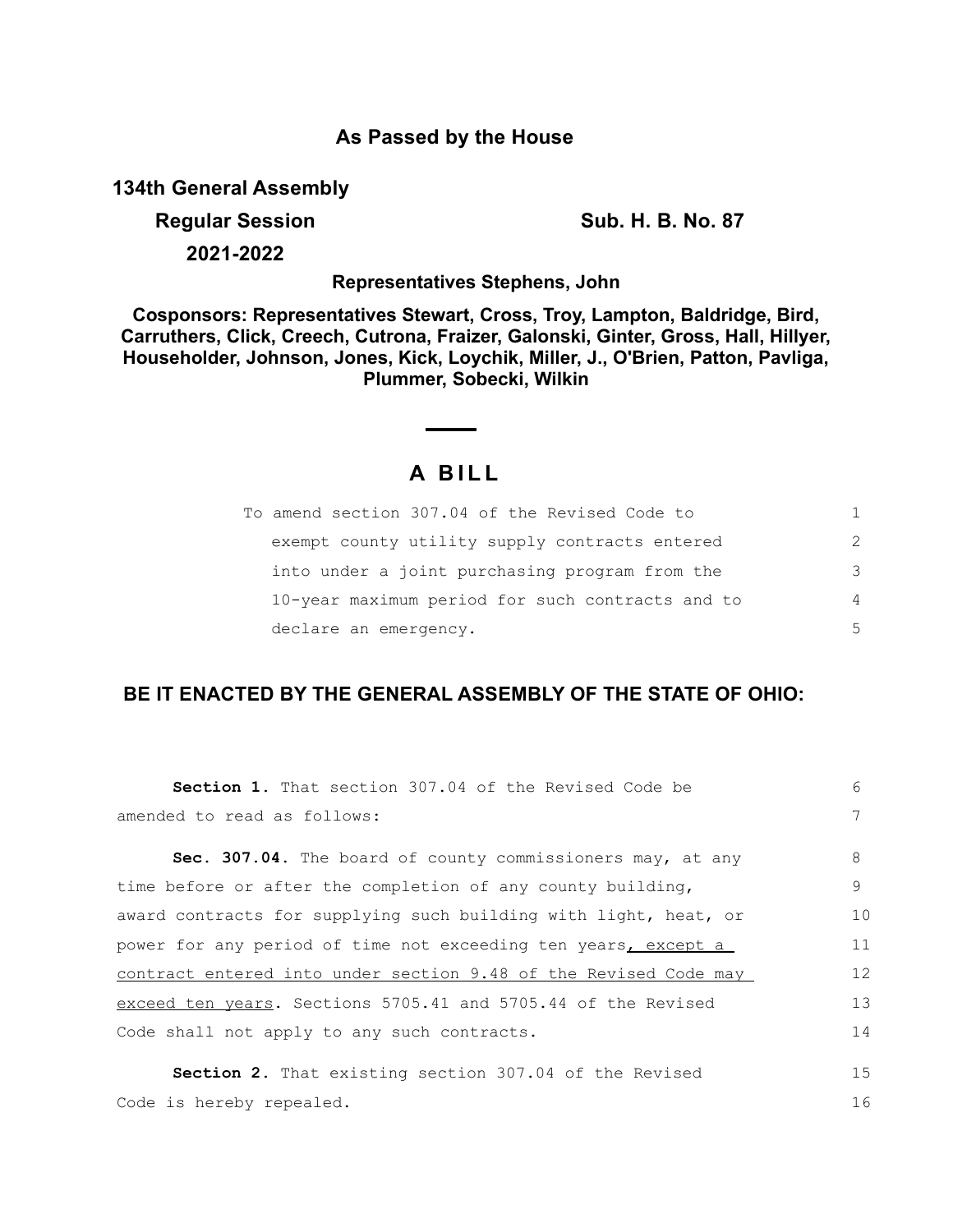## **As Passed by the House**

**134th General Assembly**

## **Regular Session Sub. H. B. No. 87**

**2021-2022**

**Representatives Stephens, John**

**Cosponsors: Representatives Stewart, Cross, Troy, Lampton, Baldridge, Bird, Carruthers, Click, Creech, Cutrona, Fraizer, Galonski, Ginter, Gross, Hall, Hillyer, Householder, Johnson, Jones, Kick, Loychik, Miller, J., O'Brien, Patton, Pavliga, Plummer, Sobecki, Wilkin**

## **A B I L L**

| To amend section 307.04 of the Revised Code to   |               |
|--------------------------------------------------|---------------|
| exempt county utility supply contracts entered   | $\mathcal{P}$ |
| into under a joint purchasing program from the   | 3             |
| 10-year maximum period for such contracts and to | 4             |
| declare an emergency.                            | 5             |

## **BE IT ENACTED BY THE GENERAL ASSEMBLY OF THE STATE OF OHIO:**

| <b>Section 1.</b> That section 307.04 of the Revised Code be     | 6  |
|------------------------------------------------------------------|----|
| amended to read as follows:                                      | 7  |
| Sec. 307.04. The board of county commissioners may, at any       | 8  |
| time before or after the completion of any county building,      | 9  |
| award contracts for supplying such building with light, heat, or | 10 |
| power for any period of time not exceeding ten years, except a   | 11 |
| contract entered into under section 9.48 of the Revised Code may |    |
| exceed ten years. Sections 5705.41 and 5705.44 of the Revised    |    |
| Code shall not apply to any such contracts.                      | 14 |
| <b>Section 2.</b> That existing section 307.04 of the Revised    | 15 |
| Code is hereby repealed.                                         | 16 |